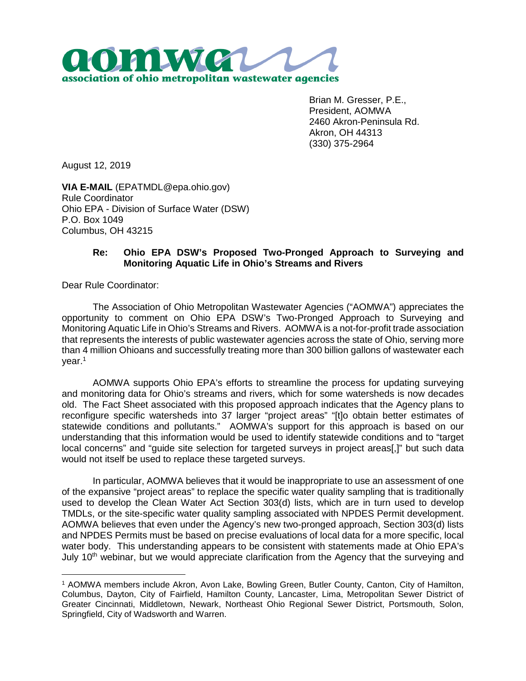

Brian M. Gresser, P.E., President, AOMWA 2460 Akron-Peninsula Rd. Akron, OH 44313 (330) 375-2964

August 12, 2019

**VIA E-MAIL** (EPATMDL@epa.ohio.gov) Rule Coordinator Ohio EPA - Division of Surface Water (DSW) P.O. Box 1049 Columbus, OH 43215

## **Re: Ohio EPA DSW's Proposed Two-Pronged Approach to Surveying and Monitoring Aquatic Life in Ohio's Streams and Rivers**

Dear Rule Coordinator:

The Association of Ohio Metropolitan Wastewater Agencies ("AOMWA") appreciates the opportunity to comment on Ohio EPA DSW's Two-Pronged Approach to Surveying and Monitoring Aquatic Life in Ohio's Streams and Rivers. AOMWA is a not-for-profit trade association that represents the interests of public wastewater agencies across the state of Ohio, serving more than 4 million Ohioans and successfully treating more than 300 billion gallons of wastewater each year.<sup>1</sup>

AOMWA supports Ohio EPA's efforts to streamline the process for updating surveying and monitoring data for Ohio's streams and rivers, which for some watersheds is now decades old. The Fact Sheet associated with this proposed approach indicates that the Agency plans to reconfigure specific watersheds into 37 larger "project areas" "[t]o obtain better estimates of statewide conditions and pollutants." AOMWA's support for this approach is based on our understanding that this information would be used to identify statewide conditions and to "target local concerns" and "guide site selection for targeted surveys in project areas[,]" but such data would not itself be used to replace these targeted surveys.

In particular, AOMWA believes that it would be inappropriate to use an assessment of one of the expansive "project areas" to replace the specific water quality sampling that is traditionally used to develop the Clean Water Act Section 303(d) lists, which are in turn used to develop TMDLs, or the site-specific water quality sampling associated with NPDES Permit development. AOMWA believes that even under the Agency's new two-pronged approach, Section 303(d) lists and NPDES Permits must be based on precise evaluations of local data for a more specific, local water body. This understanding appears to be consistent with statements made at Ohio EPA's July 10<sup>th</sup> webinar, but we would appreciate clarification from the Agency that the surveying and

<sup>1</sup> AOMWA members include Akron, Avon Lake, Bowling Green, Butler County, Canton, City of Hamilton, Columbus, Dayton, City of Fairfield, Hamilton County, Lancaster, Lima, Metropolitan Sewer District of Greater Cincinnati, Middletown, Newark, Northeast Ohio Regional Sewer District, Portsmouth, Solon, Springfield, City of Wadsworth and Warren.